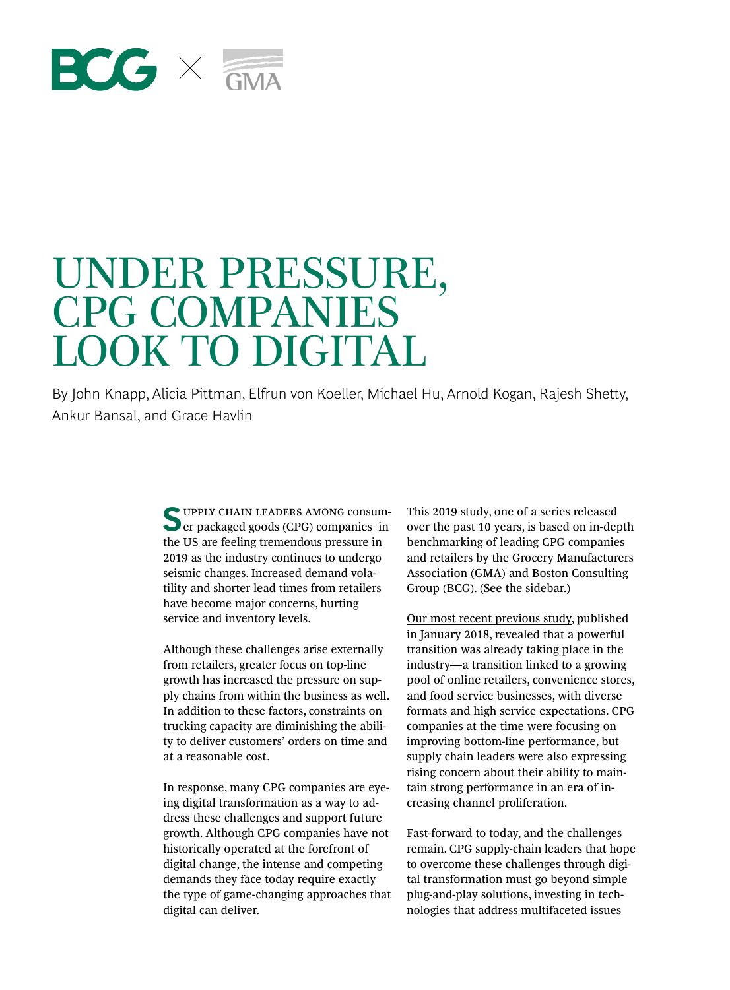# $EGK \leq$

# UNDER PRESSURE, CPG COMPANIES LOOK TO DIGITAL

By John Knapp, Alicia Pittman, Elfrun von Koeller, Michael Hu, Arnold Kogan, Rajesh Shetty, Ankur Bansal, and Grace Havlin

> **SUPPLY CHAIN LEADERS AMONG CONSUM**er packaged goods (CPG) companies in the US are feeling tremendous pressure in 2019 as the industry continues to undergo seismic changes. Increased demand volatility and shorter lead times from retailers have become major concerns, hurting service and inventory levels.

> Although these challenges arise externally from retailers, greater focus on top-line growth has increased the pressure on supply chains from within the business as well. In addition to these factors, constraints on trucking capacity are diminishing the ability to deliver customers' orders on time and at a reasonable cost.

In response, many CPG companies are eyeing digital transformation as a way to address these challenges and support future growth. Although CPG companies have not historically operated at the forefront of digital change, the intense and competing demands they face today require exactly the type of game-changing approaches that digital can deliver.

This 2019 study, one of a series released over the past 10 years, is based on in-depth benchmarking of leading CPG companies and retailers by the Grocery Manufacturers Association (GMA) and Boston Consulting Group (BCG). (See the sidebar.)

[Our most recent previous study](https://www.bcg.com/publications/2018/consumer-packaged-goods-supply-chains-preparing-seismic-change.aspx), published in January 2018, revealed that a powerful transition was already taking place in the industry—a transition linked to a growing pool of online retailers, convenience stores, and food service businesses, with diverse formats and high service expectations. CPG companies at the time were focusing on improving bottom-line performance, but supply chain leaders were also expressing rising concern about their ability to maintain strong performance in an era of increasing channel proliferation.

Fast-forward to today, and the challenges remain. CPG supply-chain leaders that hope to overcome these challenges through digital transformation must go beyond simple plug-and-play solutions, investing in technologies that address multifaceted issues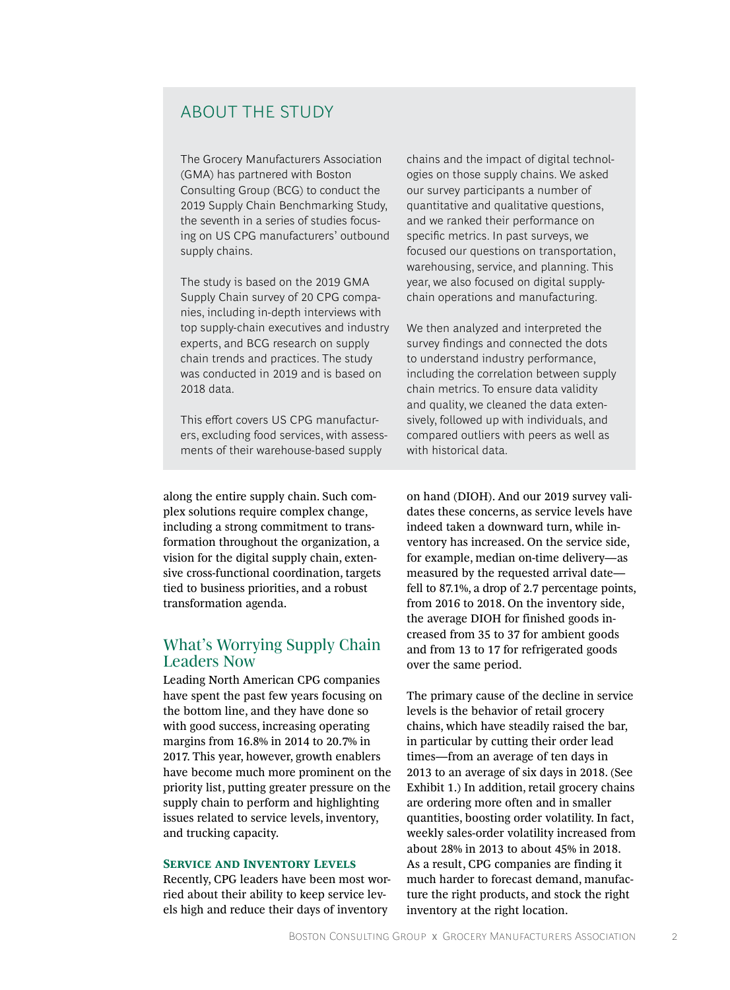# ABOUT THE STUDY

The Grocery Manufacturers Association (GMA) has partnered with Boston Consulting Group (BCG) to conduct the 2019 Supply Chain Benchmarking Study, the seventh in a series of studies focusing on US CPG manufacturers' outbound supply chains.

The study is based on the 2019 GMA Supply Chain survey of 20 CPG companies, including in-depth interviews with top supply-chain executives and industry experts, and BCG research on supply chain trends and practices. The study was conducted in 2019 and is based on 2018 data.

This effort covers US CPG manufacturers, excluding food services, with assessments of their warehouse-based supply

chains and the impact of digital technologies on those supply chains. We asked our survey participants a number of quantitative and qualitative questions, and we ranked their performance on specific metrics. In past surveys, we focused our questions on transportation, warehousing, service, and planning. This year, we also focused on digital supplychain operations and manufacturing.

We then analyzed and interpreted the survey findings and connected the dots to understand industry performance, including the correlation between supply chain metrics. To ensure data validity and quality, we cleaned the data extensively, followed up with individuals, and compared outliers with peers as well as with historical data.

along the entire supply chain. Such complex solutions require complex change, including a strong commitment to transformation throughout the organization, a vision for the digital supply chain, extensive cross-functional coordination, targets tied to business priorities, and a robust transformation agenda.

# What's Worrying Supply Chain Leaders Now

Leading North American CPG companies have spent the past few years focusing on the bottom line, and they have done so with good success, increasing operating margins from 16.8% in 2014 to 20.7% in 2017. This year, however, growth enablers have become much more prominent on the priority list, putting greater pressure on the supply chain to perform and highlighting issues related to service levels, inventory, and trucking capacity.

#### **Service and Inventory Levels**

Recently, CPG leaders have been most worried about their ability to keep service levels high and reduce their days of inventory

on hand (DIOH). And our 2019 survey validates these concerns, as service levels have indeed taken a downward turn, while inventory has increased. On the service side, for example, median on-time delivery—as measured by the requested arrival date fell to 87.1%, a drop of 2.7 percentage points, from 2016 to 2018. On the inventory side, the average DIOH for finished goods increased from 35 to 37 for ambient goods and from 13 to 17 for refrigerated goods over the same period.

The primary cause of the decline in service levels is the behavior of retail grocery chains, which have steadily raised the bar, in particular by cutting their order lead times—from an average of ten days in 2013 to an average of six days in 2018. (See Exhibit 1.) In addition, retail grocery chains are ordering more often and in smaller quantities, boosting order volatility. In fact, weekly sales-order volatility increased from about 28% in 2013 to about 45% in 2018. As a result, CPG companies are finding it much harder to forecast demand, manufacture the right products, and stock the right inventory at the right location.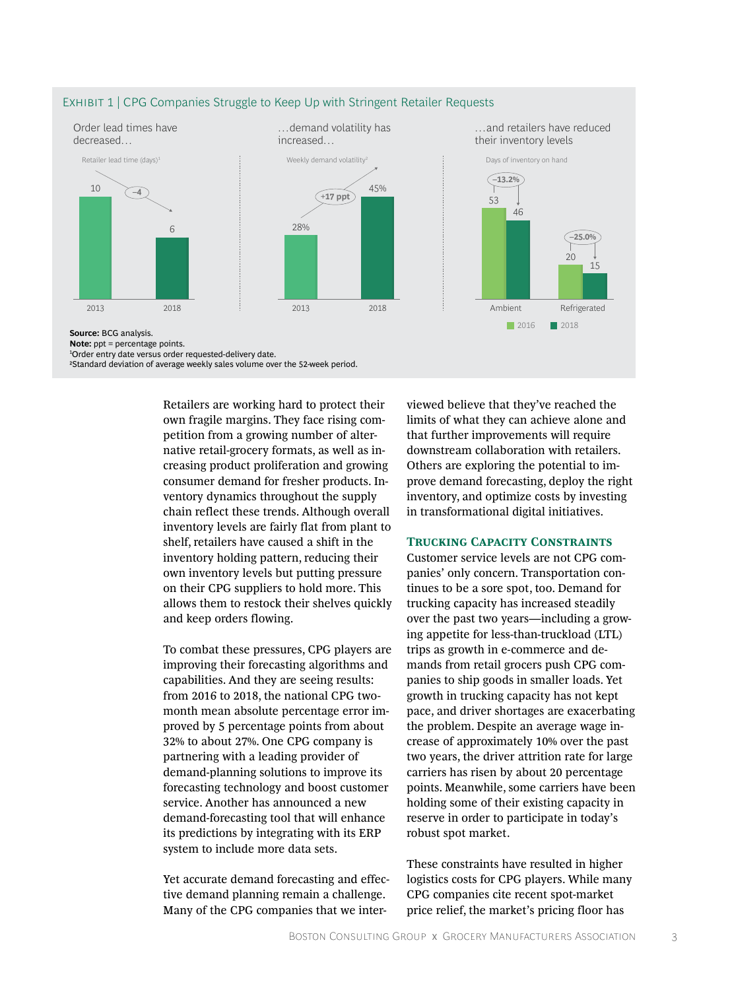

#### EXHIBIT 1 | CPG Companies Struggle to Keep Up with Stringent Retailer Requests

Retailers are working hard to protect their own fragile margins. They face rising competition from a growing number of alternative retail-grocery formats, as well as increasing product proliferation and growing consumer demand for fresher products. Inventory dynamics throughout the supply chain reflect these trends. Although overall inventory levels are fairly flat from plant to shelf, retailers have caused a shift in the inventory holding pattern, reducing their own inventory levels but putting pressure on their CPG suppliers to hold more. This allows them to restock their shelves quickly and keep orders flowing.

To combat these pressures, CPG players are improving their forecasting algorithms and capabilities. And they are seeing results: from 2016 to 2018, the national CPG twomonth mean absolute percentage error improved by 5 percentage points from about 32% to about 27%. One CPG company is partnering with a leading provider of demand-planning solutions to improve its forecasting technology and boost customer service. Another has announced a new demand-forecasting tool that will enhance its predictions by integrating with its ERP system to include more data sets.

Yet accurate demand forecasting and effective demand planning remain a challenge. Many of the CPG companies that we interviewed believe that they've reached the limits of what they can achieve alone and that further improvements will require downstream collaboration with retailers. Others are exploring the potential to improve demand forecasting, deploy the right inventory, and optimize costs by investing in transformational digital initiatives.

#### **Trucking Capacity Constraints**

Customer service levels are not CPG companies' only concern. Transportation continues to be a sore spot, too. Demand for trucking capacity has increased steadily over the past two years—including a growing appetite for less-than-truckload (LTL) trips as growth in e-commerce and demands from retail grocers push CPG companies to ship goods in smaller loads. Yet growth in trucking capacity has not kept pace, and driver shortages are exacerbating the problem. Despite an average wage increase of approximately 10% over the past two years, the driver attrition rate for large carriers has risen by about 20 percentage points. Meanwhile, some carriers have been holding some of their existing capacity in reserve in order to participate in today's robust spot market.

These constraints have resulted in higher logistics costs for CPG players. While many CPG companies cite recent spot-market price relief, the market's pricing floor has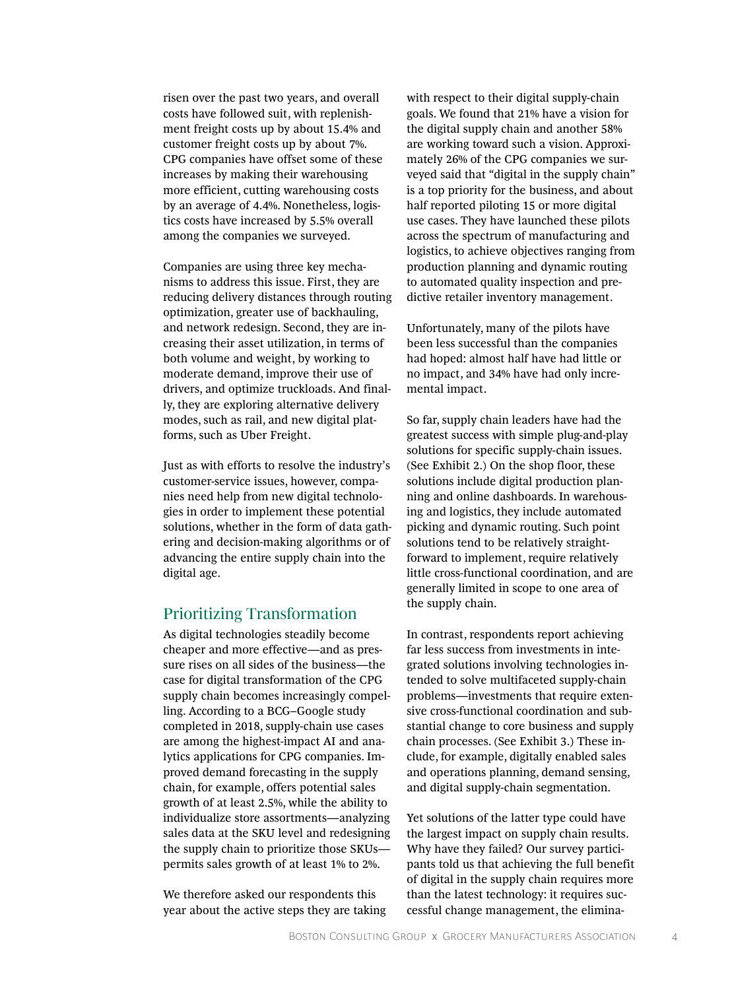risen over the past two years, and overall costs have followed suit, with replenishment freight costs up by about 15.4% and customer freight costs up by about 7%. CPG companies have offset some of these increases by making their warehousing more efficient, cutting warehousing costs by an average of 4.4%. Nonetheless, logistics costs have increased by 5.5% overall among the companies we surveyed.

Companies are using three key mechanisms to address this issue. First, they are reducing delivery distances through routing optimization, greater use of backhauling, and network redesign. Second, they are increasing their asset utilization, in terms of both volume and weight, by working to moderate demand, improve their use of drivers, and optimize truckloads. And finally, they are exploring alternative delivery modes, such as rail, and new digital platforms, such as Uber Freight.

Just as with efforts to resolve the industry's customer-service issues, however, companies need help from new digital technologies in order to implement these potential solutions, whether in the form of data gathering and decision-making algorithms or of advancing the entire supply chain into the digital age.

## Prioritizing Transformation

As digital technologies steadily become cheaper and more effective—and as pressure rises on all sides of the business—the case for digital transformation of the CPG supply chain becomes increasingly compelling. According to a BCG–Google study completed in 2018, supply-chain use cases are among the highest-impact AI and analytics applications for CPG companies. Improved demand forecasting in the supply chain, for example, offers potential sales growth of at least 2.5%, while the ability to individualize store assortments—analyzing sales data at the SKU level and redesigning the supply chain to prioritize those SKUs permits sales growth of at least 1% to 2%.

We therefore asked our respondents this year about the active steps they are taking with respect to their digital supply-chain goals. We found that 21% have a vision for the digital supply chain and another 58% are working toward such a vision. Approximately 26% of the CPG companies we surveyed said that "digital in the supply chain" is a top priority for the business, and about half reported piloting 15 or more digital use cases. They have launched these pilots across the spectrum of manufacturing and logistics, to achieve objectives ranging from production planning and dynamic routing to automated quality inspection and predictive retailer inventory management.

Unfortunately, many of the pilots have been less successful than the companies had hoped: almost half have had little or no impact, and 34% have had only incremental impact.

So far, supply chain leaders have had the greatest success with simple plug-and-play solutions for specific supply-chain issues. (See Exhibit 2.) On the shop floor, these solutions include digital production planning and online dashboards. In warehousing and logistics, they include automated picking and dynamic routing. Such point solutions tend to be relatively straightforward to implement, require relatively little cross-functional coordination, and are generally limited in scope to one area of the supply chain.

In contrast, respondents report achieving far less success from investments in integrated solutions involving technologies intended to solve multifaceted supply-chain problems—investments that require extensive cross-functional coordination and substantial change to core business and supply chain processes. (See Exhibit 3.) These include, for example, digitally enabled sales and operations planning, demand sensing, and digital supply-chain segmentation.

Yet solutions of the latter type could have the largest impact on supply chain results. Why have they failed? Our survey participants told us that achieving the full benefit of digital in the supply chain requires more than the latest technology: it requires successful change management, the elimina-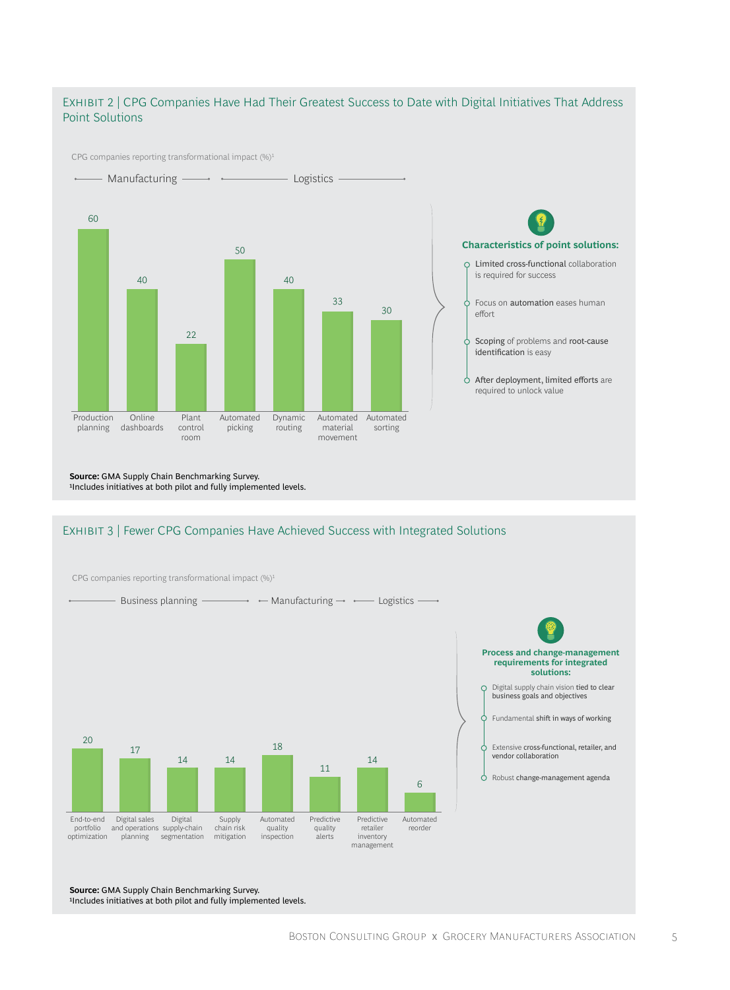### Exhibit 2 | CPG Companies Have Had Their Greatest Success to Date with Digital Initiatives That Address Point Solutions

CPG companies reporting transformational impact (%)<sup>1</sup>



**Source:** GMA Supply Chain Benchmarking Survey. 1Includes initiatives at both pilot and fully implemented levels.

#### EXHIBIT 3 | Fewer CPG Companies Have Achieved Success with Integrated Solutions



**Source:** GMA Supply Chain Benchmarking Survey. 1Includes initiatives at both pilot and fully implemented levels.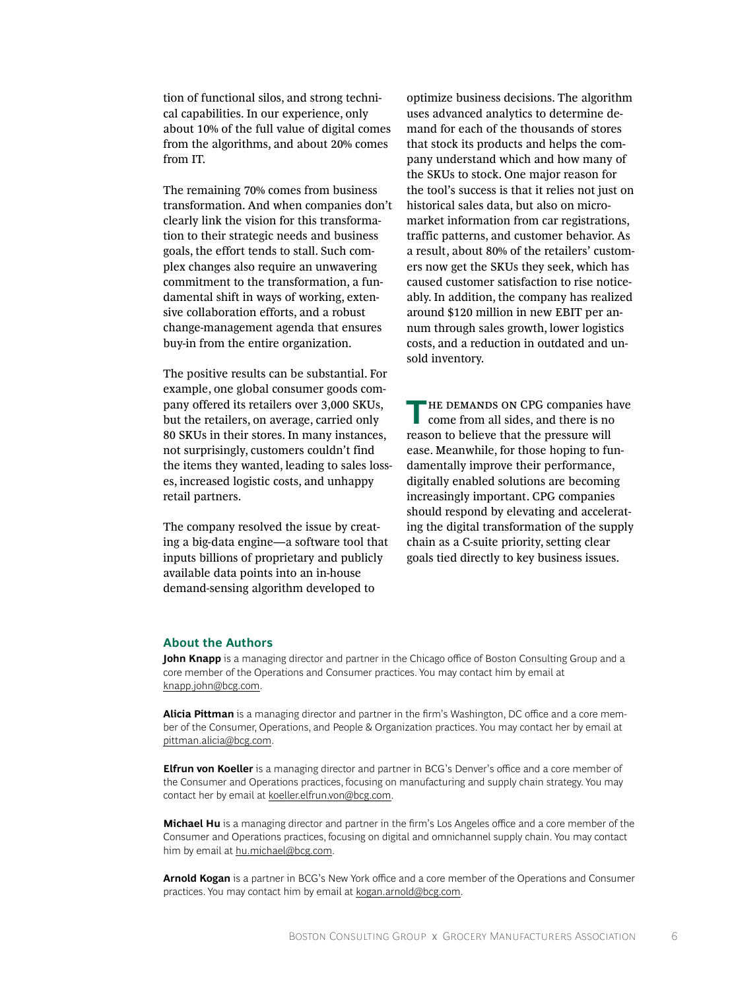tion of functional silos, and strong technical capabilities. In our experience, only about 10% of the full value of digital comes from the algorithms, and about 20% comes from IT.

The remaining 70% comes from business transformation. And when companies don't clearly link the vision for this transformation to their strategic needs and business goals, the effort tends to stall. Such complex changes also require an unwavering commitment to the transformation, a fundamental shift in ways of working, extensive collaboration efforts, and a robust change-management agenda that ensures buy-in from the entire organization.

The positive results can be substantial. For example, one global consumer goods company offered its retailers over 3,000 SKUs, but the retailers, on average, carried only 80 SKUs in their stores. In many instances, not surprisingly, customers couldn't find the items they wanted, leading to sales losses, increased logistic costs, and unhappy retail partners.

The company resolved the issue by creating a big-data engine—a software tool that inputs billions of proprietary and publicly available data points into an in-house demand-sensing algorithm developed to

optimize business decisions. The algorithm uses advanced analytics to determine demand for each of the thousands of stores that stock its products and helps the company understand which and how many of the SKUs to stock. One major reason for the tool's success is that it relies not just on historical sales data, but also on micro-market information from car registrations, traffic patterns, and customer behavior. As a result, about 80% of the retailers' customers now get the SKUs they seek, which has caused customer satisfaction to rise noticeably. In addition, the company has realized around \$120 million in new EBIT per annum through sales growth, lower logistics costs, and a reduction in outdated and unsold inventory.

**THE DEMANDS ON CPG companies have** come from all sides, and there is no reason to believe that the pressure will ease. Meanwhile, for those hoping to fundamentally improve their performance, digitally enabled solutions are becoming increasingly important. CPG companies should respond by elevating and accelerating the digital transformation of the supply chain as a C-suite priority, setting clear goals tied directly to key business issues.

#### **About the Authors**

**John Knapp** is a managing director and partner in the Chicago office of Boston Consulting Group and a core member of the Operations and Consumer practices. You may contact him by email at [knapp.john@bcg.com.](mailto:knapp.john%40bcg.com?subject=)

**Alicia Pittman** is a managing director and partner in the firm's Washington, DC office and a core member of the Consumer, Operations, and People & Organization practices. You may contact her by email at [pittman.alicia@bcg.com.](mailto:pittman.alicia%40bcg.com?subject=)

**Elfrun von Koeller** is a managing director and partner in BCG's Denver's office and a core member of the Consumer and Operations practices, focusing on manufacturing and supply chain strategy. You may contact her by email at [koeller.elfrun.von@bcg.com](mailto:koeller.elfrun.von%40bcg.com?subject=).

**Michael Hu** is a managing director and partner in the firm's Los Angeles office and a core member of the Consumer and Operations practices, focusing on digital and omnichannel supply chain. You may contact him by email at [hu.michael@bcg.com.](mailto:hu.michael%40bcg.com?subject=)

**Arnold Kogan** is a partner in BCG's New York office and a core member of the Operations and Consumer practices. You may contact him by email at [kogan.arnold@bcg.com.](mailto:kogan.arnold%40bcg.com?subject=)